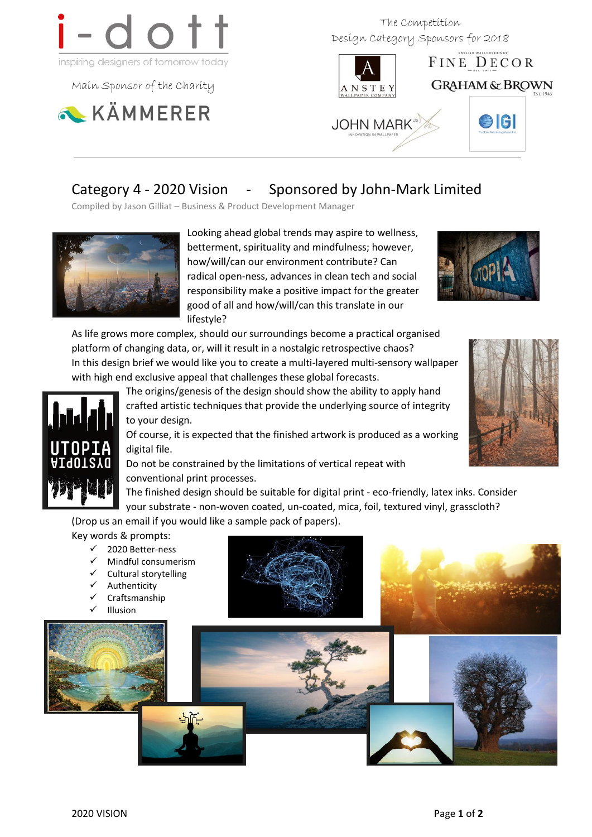

Main Sponsor of the Charity



 The Competition Design Category Sponsors for 2018



# Category 4 - 2020 Vision - Sponsored by John-Mark Limited

Compiled by Jason Gilliat – Business & Product Development Manager



Looking ahead global trends may aspire to wellness, betterment, spirituality and mindfulness; however, how/will/can our environment contribute? Can radical open-ness, advances in clean tech and social responsibility make a positive impact for the greater good of all and how/will/can this translate in our lifestyle?



As life grows more complex, should our surroundings become a practical organised platform of changing data, or, will it result in a nostalgic retrospective chaos? In this design brief we would like you to create a multi-layered multi-sensory wallpaper with high end exclusive appeal that challenges these global forecasts.



The origins/genesis of the design should show the ability to apply hand crafted artistic techniques that provide the underlying source of integrity to your design.

Of course, it is expected that the finished artwork is produced as a working digital file.

Do not be constrained by the limitations of vertical repeat with conventional print processes.



The finished design should be suitable for digital print - eco-friendly, latex inks. Consider your substrate - non-woven coated, un-coated, mica, foil, textured vinyl, grasscloth?

(Drop us an email if you would like a sample pack of papers). Key words & prompts:

- 2020 Better-ness
- Mindful consumerism
- Cultural storytelling
- Authenticity
- Craftsmanship
- Illusion